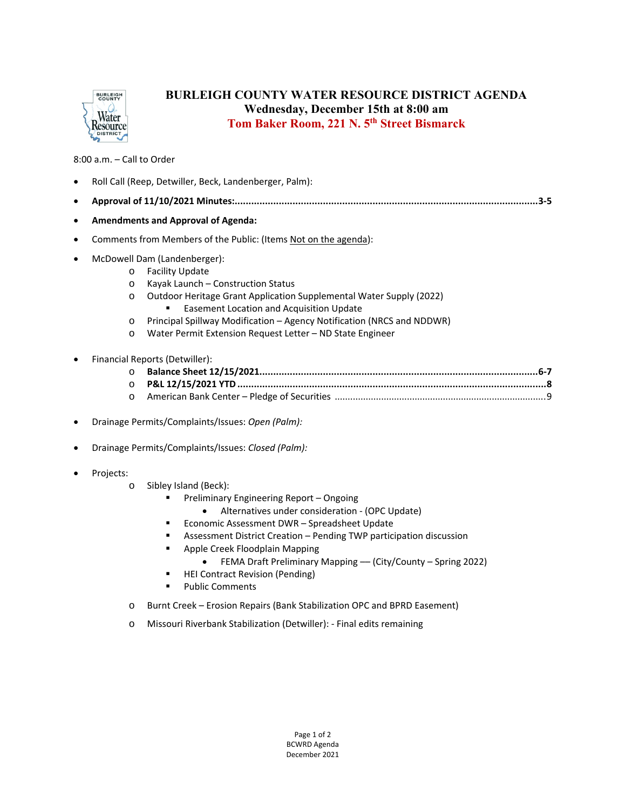

## **BURLEIGH COUNTY WATER RESOURCE DISTRICT AGENDA Wednesday, December 15th at 8:00 am Tom Baker Room, 221 N. 5th Street Bismarck**

8:00 a.m. – Call to Order

|           | Roll Call (Reep, Detwiller, Beck, Landenberger, Palm):          |                                                                                                                                                                                                                                                                                                                                                                                                                                                 |  |
|-----------|-----------------------------------------------------------------|-------------------------------------------------------------------------------------------------------------------------------------------------------------------------------------------------------------------------------------------------------------------------------------------------------------------------------------------------------------------------------------------------------------------------------------------------|--|
|           | 3-5                                                             |                                                                                                                                                                                                                                                                                                                                                                                                                                                 |  |
| ٠         | <b>Amendments and Approval of Agenda:</b>                       |                                                                                                                                                                                                                                                                                                                                                                                                                                                 |  |
| $\bullet$ | Comments from Members of the Public: (Items Not on the agenda): |                                                                                                                                                                                                                                                                                                                                                                                                                                                 |  |
|           | $\circ$<br>$\circ$<br>$\circ$<br>O<br>$\circ$                   | McDowell Dam (Landenberger):<br><b>Facility Update</b><br>Kayak Launch - Construction Status<br>Outdoor Heritage Grant Application Supplemental Water Supply (2022)<br><b>Easement Location and Acquisition Update</b><br>٠<br>Principal Spillway Modification - Agency Notification (NRCS and NDDWR)<br>Water Permit Extension Request Letter - ND State Engineer                                                                              |  |
|           | $\circ$<br>$\circ$<br>$\circ$                                   | Financial Reports (Detwiller):                                                                                                                                                                                                                                                                                                                                                                                                                  |  |
|           | Drainage Permits/Complaints/Issues: Open (Palm):                |                                                                                                                                                                                                                                                                                                                                                                                                                                                 |  |
|           | Drainage Permits/Complaints/Issues: Closed (Palm):              |                                                                                                                                                                                                                                                                                                                                                                                                                                                 |  |
|           | Projects:<br>$\circ$                                            | Sibley Island (Beck):<br>Preliminary Engineering Report - Ongoing<br>٠<br>Alternatives under consideration - (OPC Update)<br>Economic Assessment DWR - Spreadsheet Update<br>٠<br>Assessment District Creation - Pending TWP participation discussion<br>٠<br>Apple Creek Floodplain Mapping<br>٠<br>FEMA Draft Preliminary Mapping - (City/County - Spring 2022)<br><b>HEI Contract Revision (Pending)</b><br>п<br><b>Public Comments</b><br>٠ |  |

- o Burnt Creek Erosion Repairs (Bank Stabilization OPC and BPRD Easement)
- o Missouri Riverbank Stabilization (Detwiller): ‐ Final edits remaining